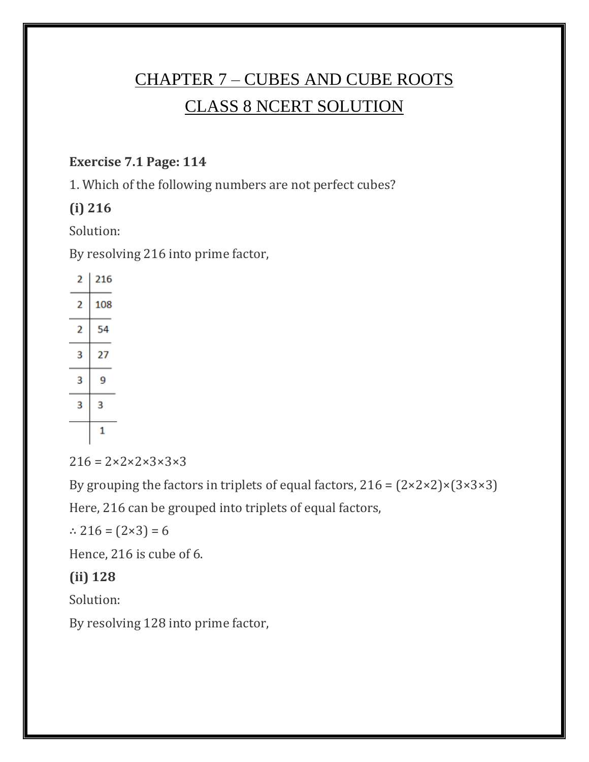# CHAPTER 7 – CUBES AND CUBE ROOTS CLASS 8 NCERT SOLUTION

#### **Exercise 7.1 Page: 114**

1. Which of the following numbers are not perfect cubes?

### **(i) 216**

Solution:

By resolving 216 into prime factor,

| 2 | 216 |
|---|-----|
| 2 | 108 |
| 2 | 54  |
| 3 | 27  |
| 3 | ٩   |
| 3 | 3   |
|   | 1   |

 $216 = 2 \times 2 \times 2 \times 3 \times 3 \times 3$ 

By grouping the factors in triplets of equal factors,  $216 = (2 \times 2 \times 2) \times (3 \times 3 \times 3)$ 

Here, 216 can be grouped into triplets of equal factors,

∴ 216 =  $(2×3) = 6$ 

Hence, 216 is cube of 6.

### **(ii) 128**

Solution:

By resolving 128 into prime factor,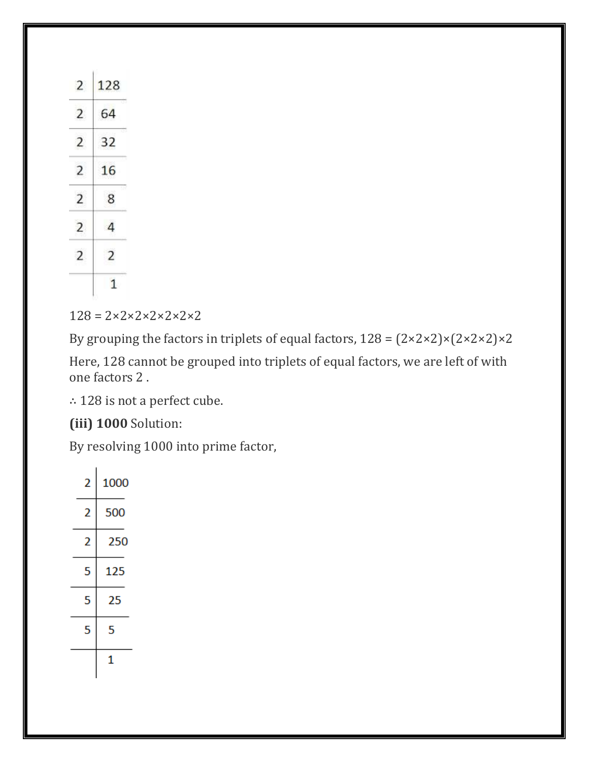| 2              | 128            |
|----------------|----------------|
| $\overline{2}$ | 64             |
| $\overline{2}$ | 32             |
| 2              | 16             |
| $\overline{2}$ | 8              |
| $\overline{2}$ | 4              |
| $\overline{2}$ | $\overline{2}$ |
|                | $\mathbf{1}$   |

 $128 = 2 \times 2 \times 2 \times 2 \times 2 \times 2$ 

By grouping the factors in triplets of equal factors,  $128 = (2 \times 2 \times 2) \times (2 \times 2 \times 2) \times 2$ 

Here, 128 cannot be grouped into triplets of equal factors, we are left of with one factors 2 .

∴ 128 is not a perfect cube.

**(iii) 1000** Solution:

By resolving 1000 into prime factor,

| 2 | 1000 |
|---|------|
| 2 | 500  |
| 2 | 250  |
| 5 | 125  |
| 5 | 25   |
| 5 | 5    |
|   |      |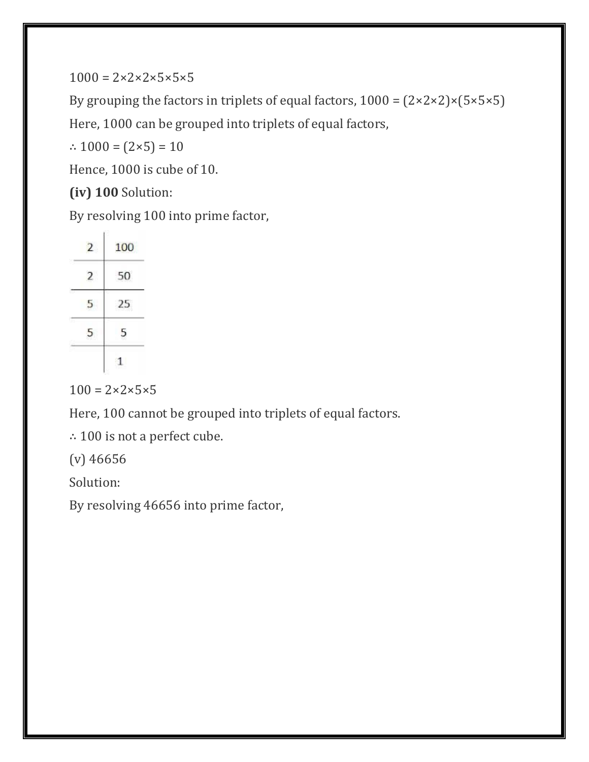$1000 = 2 \times 2 \times 2 \times 5 \times 5 \times 5$ 

By grouping the factors in triplets of equal factors,  $1000 = (2 \times 2 \times 2) \times (5 \times 5 \times 5)$ 

Here, 1000 can be grouped into triplets of equal factors,

∴  $1000 = (2 \times 5) = 10$ 

Hence, 1000 is cube of 10.

**(iv) 100** Solution:

By resolving 100 into prime factor,

| 2 | 100 |
|---|-----|
|   | 50  |
|   | 25  |
| 5 | 5   |
|   |     |

 $100 = 2 \times 2 \times 5 \times 5$ 

Here, 100 cannot be grouped into triplets of equal factors.

∴ 100 is not a perfect cube.

(v) 46656

Solution:

By resolving 46656 into prime factor,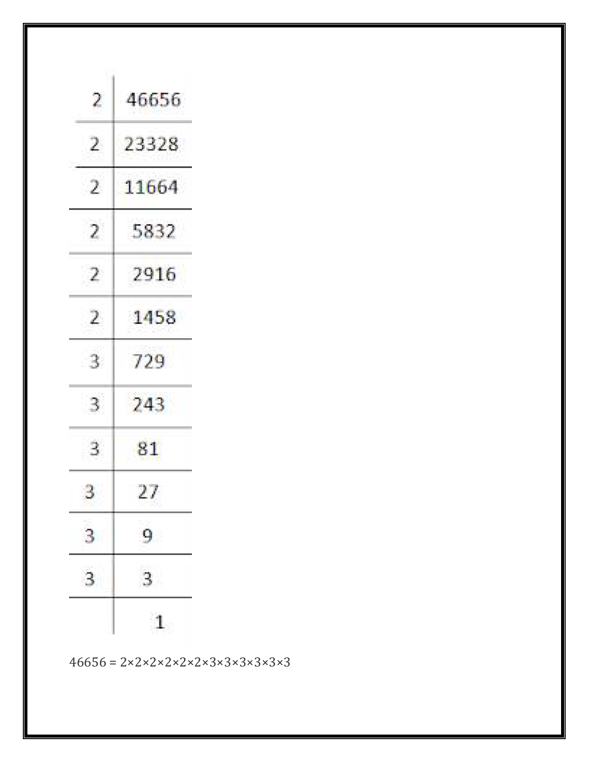| 2              | 46656          |
|----------------|----------------|
| 2              | 23328          |
| -2             | 11664          |
| 2              | 5832           |
| 2              | 2916           |
| 2              | 1458           |
| 3              | 729            |
| 3              | 243            |
| 3              | 81             |
| 3.             | 27             |
| $\mathbf{3}$   | 9              |
| $\overline{3}$ | $\overline{3}$ |
|                | 1              |

 $46656 = 2 \times 2 \times 2 \times 2 \times 2 \times 2 \times 3 \times 3 \times 3 \times 3 \times 3$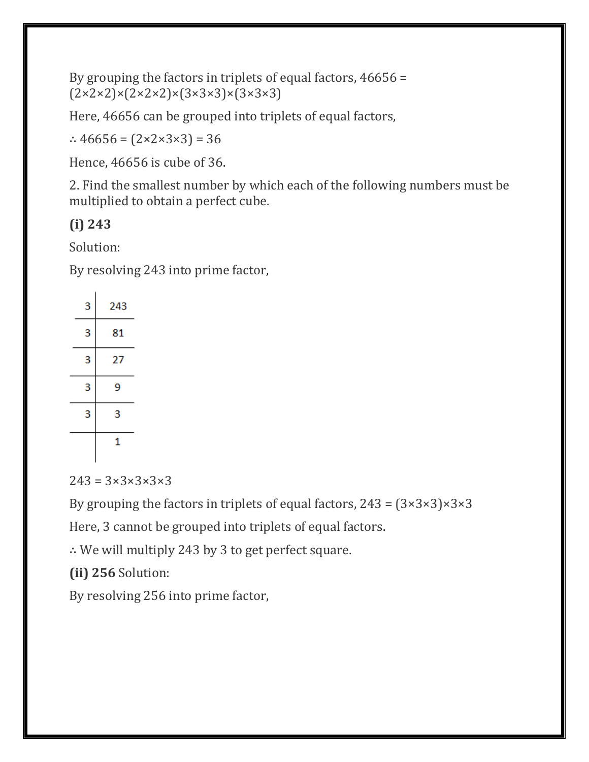By grouping the factors in triplets of equal factors, 46656 =  $(2 \times 2 \times 2) \times (2 \times 2 \times 2) \times (3 \times 3 \times 3) \times (3 \times 3 \times 3)$ 

Here, 46656 can be grouped into triplets of equal factors,

∴ 46656 =  $(2 \times 2 \times 3 \times 3) = 36$ 

Hence, 46656 is cube of 36.

2. Find the smallest number by which each of the following numbers must be multiplied to obtain a perfect cube.

### **(i) 243**

Solution:

By resolving 243 into prime factor,

| 3 | 243 |
|---|-----|
| 3 | 81  |
| 3 | 27  |
| 3 | 9   |
| 3 | 3   |
|   | 1   |

 $243 = 3 \times 3 \times 3 \times 3 \times 3$ 

By grouping the factors in triplets of equal factors,  $243 = (3 \times 3 \times 3) \times 3 \times 3$ 

Here, 3 cannot be grouped into triplets of equal factors.

∴ We will multiply 243 by 3 to get perfect square.

**(ii) 256** Solution:

By resolving 256 into prime factor,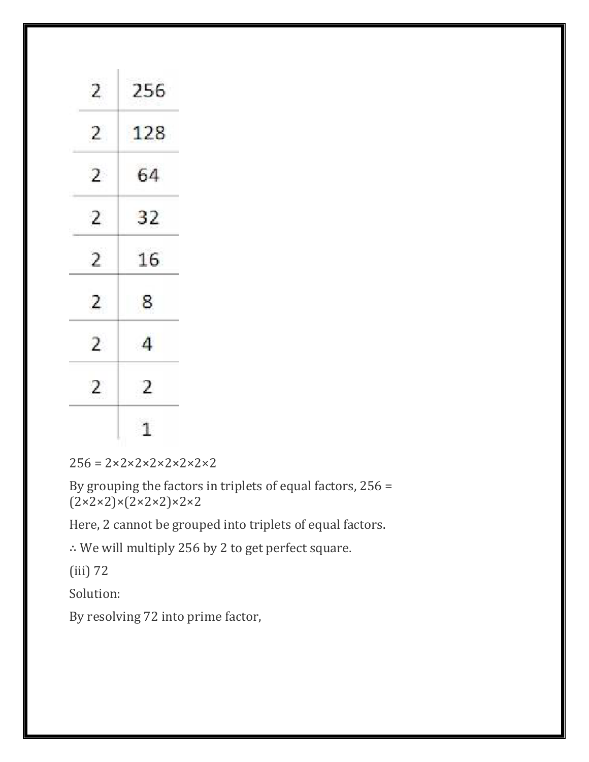| 2              | 256            |
|----------------|----------------|
| $\overline{2}$ | 128            |
| $\overline{2}$ | 64             |
| 2              | 32             |
| $\overline{2}$ | 16             |
| 2              | 8              |
| $\overline{2}$ | $\overline{4}$ |
| $\overline{2}$ | 2              |
|                | $\mathbf{1}$   |

| $256 = 2 \times 2 \times 2 \times 2 \times 2 \times 2 \times 2$ |
|-----------------------------------------------------------------|
|-----------------------------------------------------------------|

By grouping the factors in triplets of equal factors, 256 =  $(2 \times 2 \times 2) \times (2 \times 2 \times 2) \times 2 \times 2$ 

Here, 2 cannot be grouped into triplets of equal factors.

∴ We will multiply 256 by 2 to get perfect square.

(iii) 72

Solution:

By resolving 72 into prime factor,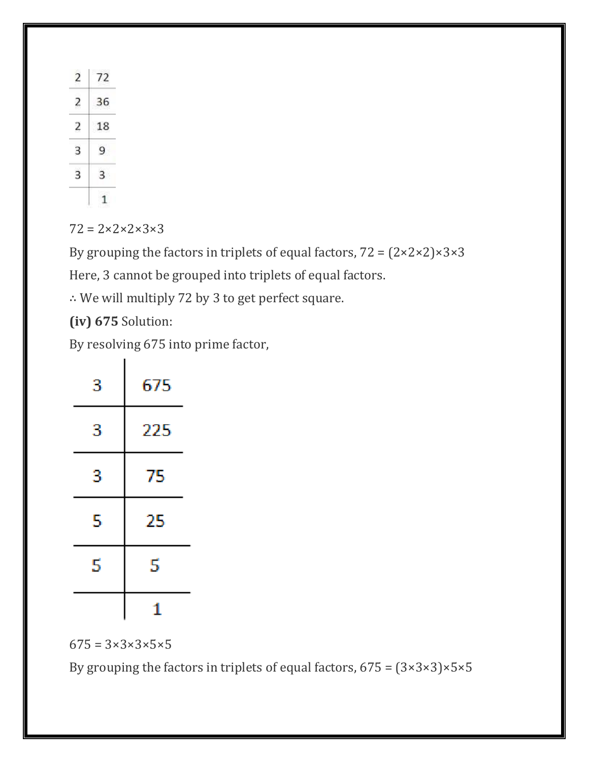| $^{\prime}2$ |
|--------------|
| 36           |
| 18<br>ó      |
| Q            |
|              |
|              |

 $72 = 2 \times 2 \times 2 \times 3 \times 3$ 

By grouping the factors in triplets of equal factors,  $72 = (2 \times 2 \times 2) \times 3 \times 3$ 

Here, 3 cannot be grouped into triplets of equal factors.

∴ We will multiply 72 by 3 to get perfect square.

**(iv) 675** Solution:

By resolving 675 into prime factor,

| 3 | 675 |
|---|-----|
| 3 | 225 |
| 3 | 75  |
| 5 | 25  |
| 5 | 5   |
|   | 1   |

 $675 = 3 \times 3 \times 3 \times 5 \times 5$ 

By grouping the factors in triplets of equal factors,  $675 = (3 \times 3 \times 3) \times 5 \times 5$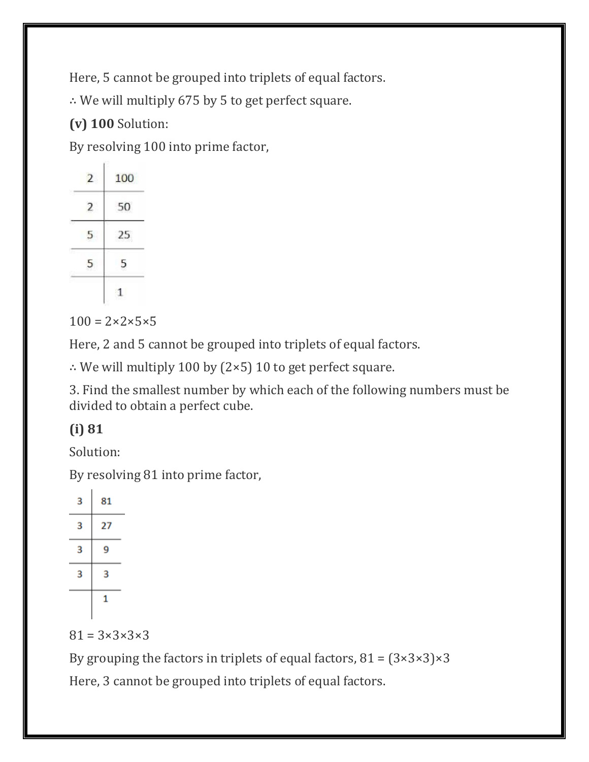Here, 5 cannot be grouped into triplets of equal factors.

∴ We will multiply 675 by 5 to get perfect square.

## **(v) 100** Solution:

By resolving 100 into prime factor,

|   | 100 |
|---|-----|
| 2 | 50  |
|   | 25  |
| C | 5   |
|   |     |

 $100 = 2 \times 2 \times 5 \times 5$ 

Here, 2 and 5 cannot be grouped into triplets of equal factors.

∴ We will multiply 100 by (2×5) 10 to get perfect square.

3. Find the smallest number by which each of the following numbers must be divided to obtain a perfect cube.

## **(i) 81**

Solution:

By resolving 81 into prime factor,

| з | 81 |
|---|----|
| з | 27 |
| 3 | 9  |
| з | з  |
|   | 1  |

 $81 = 3 \times 3 \times 3 \times 3$ 

By grouping the factors in triplets of equal factors,  $81 = (3 \times 3 \times 3) \times 3$ 

Here, 3 cannot be grouped into triplets of equal factors.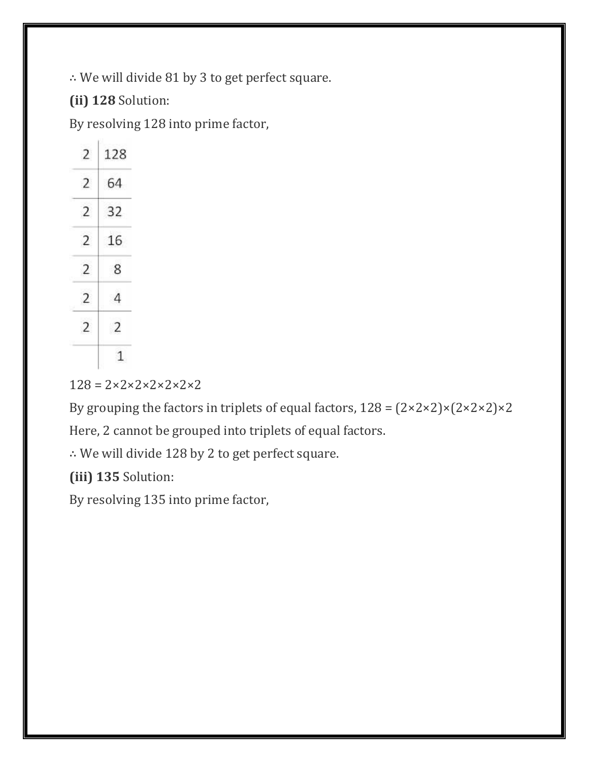∴ We will divide 81 by 3 to get perfect square.

**(ii) 128** Solution:

By resolving 128 into prime factor,

| 2              | 128            |
|----------------|----------------|
| $\overline{2}$ | 64             |
| 2              | 32             |
| 2              | 16             |
| $\overline{2}$ | 8              |
| 2              | $\overline{4}$ |
| $\overline{2}$ | $\overline{2}$ |
|                | $\mathbf{1}$   |

 $128 = 2 \times 2 \times 2 \times 2 \times 2 \times 2$ 

By grouping the factors in triplets of equal factors,  $128 = (2 \times 2 \times 2) \times (2 \times 2 \times 2) \times 2$ 

Here, 2 cannot be grouped into triplets of equal factors.

∴ We will divide 128 by 2 to get perfect square.

**(iii) 135** Solution:

By resolving 135 into prime factor,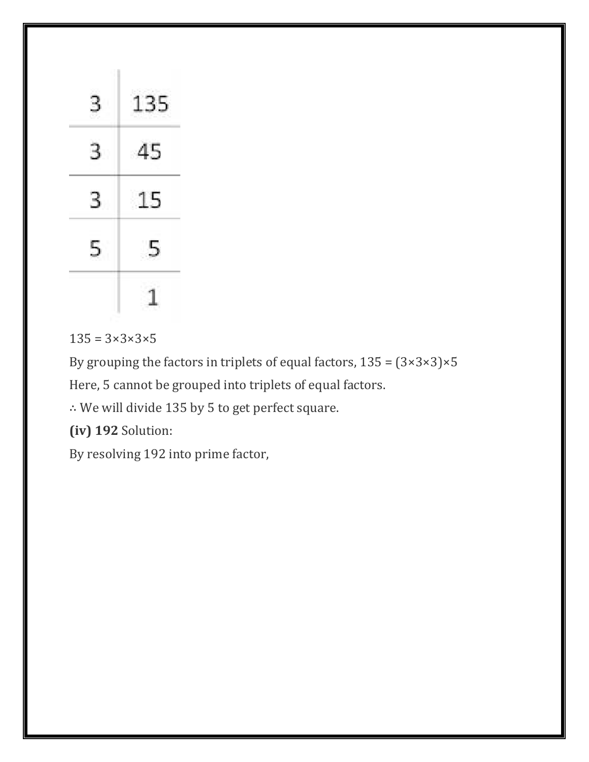| న  | 135 |
|----|-----|
| 3  | -45 |
| 3. | 15  |
| 5. | -5  |
|    | à,  |

 $135 = 3 \times 3 \times 3 \times 5$ 

By grouping the factors in triplets of equal factors,  $135 = (3 \times 3 \times 3) \times 5$ 

Here, 5 cannot be grouped into triplets of equal factors.

∴ We will divide 135 by 5 to get perfect square.

**(iv) 192** Solution:

By resolving 192 into prime factor,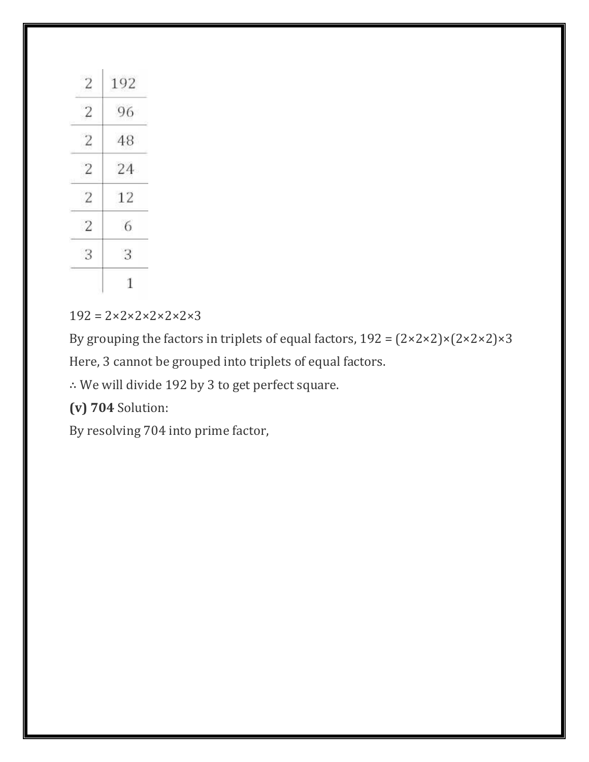| $\overline{2}$ | 192 |
|----------------|-----|
| $\overline{2}$ | 96  |
| $\overline{2}$ | 48  |
| $\overline{2}$ | 24  |
| $\overline{2}$ | 12  |
| 2              | 6   |
| 3              | 3   |
|                | 1   |

 $192 = 2 \times 2 \times 2 \times 2 \times 2 \times 3$ 

By grouping the factors in triplets of equal factors,  $192 = (2 \times 2 \times 2) \times (2 \times 2 \times 2) \times 3$ Here, 3 cannot be grouped into triplets of equal factors.

∴ We will divide 192 by 3 to get perfect square.

**(v) 704** Solution:

By resolving 704 into prime factor,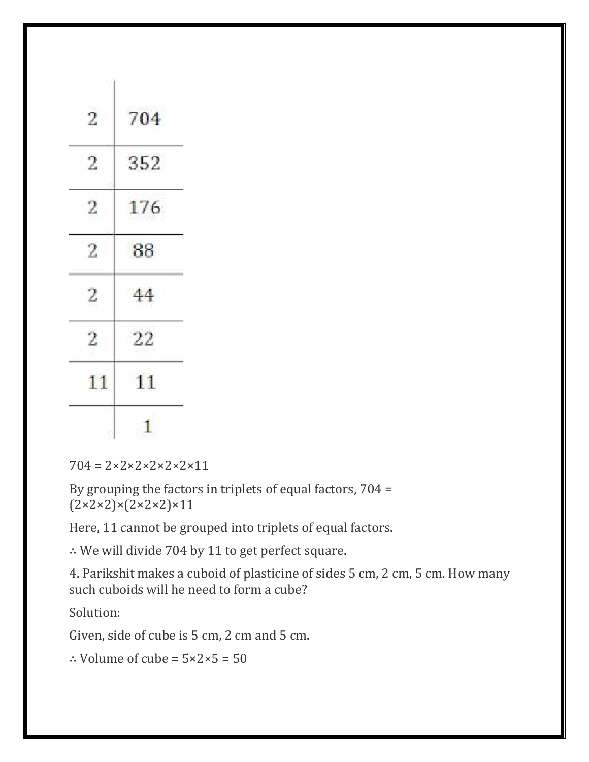| -2<br>2 | 176<br>88 |
|---------|-----------|
| 2       | 44        |
| 2       | 22        |

 $704 = 2 \times 2 \times 2 \times 2 \times 2 \times 11$ 

By grouping the factors in triplets of equal factors, 704 =  $(2 \times 2 \times 2) \times (2 \times 2 \times 2) \times 11$ 

Here, 11 cannot be grouped into triplets of equal factors.

∴ We will divide 704 by 11 to get perfect square.

4. Parikshit makes a cuboid of plasticine of sides 5 cm, 2 cm, 5 cm. How many such cuboids will he need to form a cube?

Solution:

Given, side of cube is 5 cm, 2 cm and 5 cm.

∴ Volume of cube = 5×2×5 = 50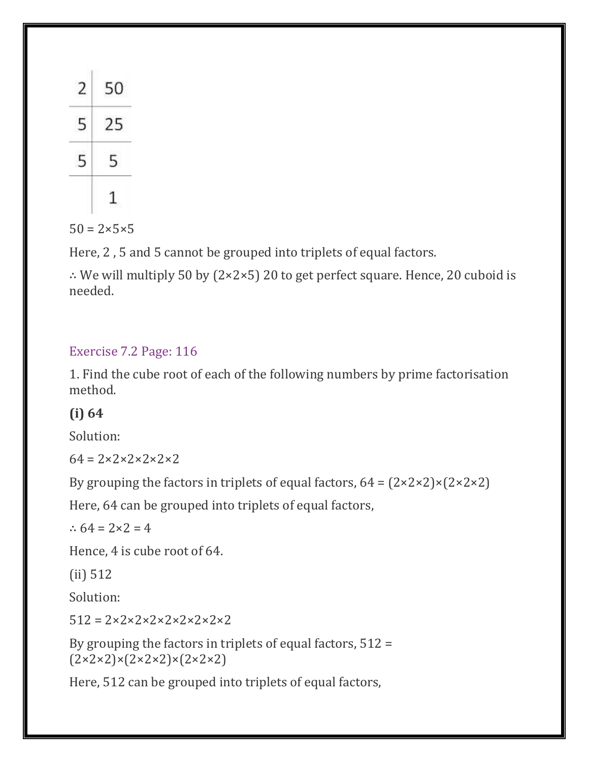| 50             |
|----------------|
| $\overline{5}$ |
| 5              |
|                |

 $50 = 2 \times 5 \times 5$ 

Here, 2 , 5 and 5 cannot be grouped into triplets of equal factors.

∴ We will multiply 50 by (2×2×5) 20 to get perfect square. Hence, 20 cuboid is needed.

### Exercise 7.2 Page: 116

1. Find the cube root of each of the following numbers by prime factorisation method.

### **(i) 64**

Solution:

 $64 = 2 \times 2 \times 2 \times 2 \times 2$ 

By grouping the factors in triplets of equal factors,  $64 = (2 \times 2 \times 2) \times (2 \times 2 \times 2)$ 

Here, 64 can be grouped into triplets of equal factors,

∴  $64 = 2 \times 2 = 4$ 

Hence, 4 is cube root of 64.

(ii) 512

Solution:

 $512 = 2 \times 2 \times 2 \times 2 \times 2 \times 2 \times 2 \times 2$ 

By grouping the factors in triplets of equal factors, 512 =  $(2 \times 2 \times 2) \times (2 \times 2 \times 2) \times (2 \times 2 \times 2)$ 

Here, 512 can be grouped into triplets of equal factors,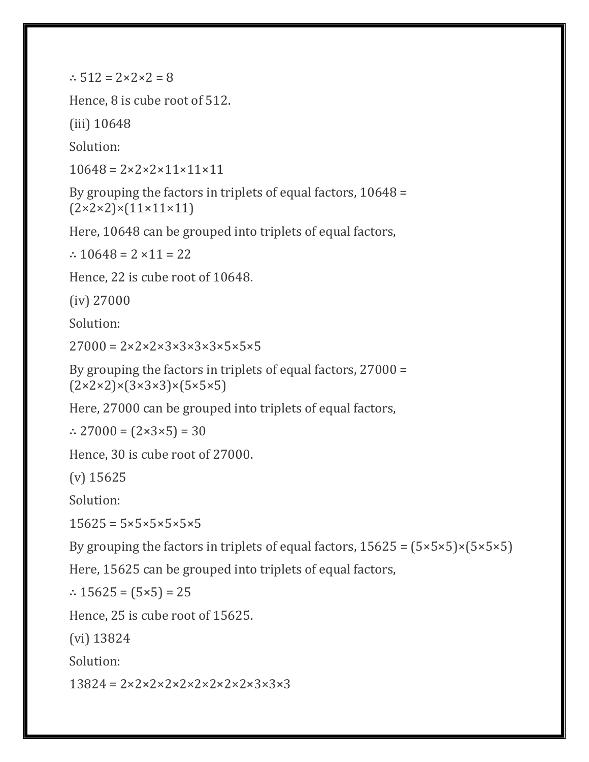∴  $512 = 2 \times 2 \times 2 = 8$ 

Hence, 8 is cube root of 512.

(iii) 10648

Solution:

 $10648 = 2 \times 2 \times 2 \times 11 \times 11 \times 11$ 

By grouping the factors in triplets of equal factors, 10648 =  $(2 \times 2 \times 2) \times (11 \times 11 \times 11)$ 

Here, 10648 can be grouped into triplets of equal factors,

∴ 10648 =  $2 \times 11 = 22$ 

Hence, 22 is cube root of 10648.

(iv) 27000

Solution:

 $27000 = 2 \times 2 \times 2 \times 3 \times 3 \times 3 \times 5 \times 5 \times 5$ 

By grouping the factors in triplets of equal factors, 27000 =  $(2 \times 2 \times 2) \times (3 \times 3 \times 3) \times (5 \times 5 \times 5)$ 

Here, 27000 can be grouped into triplets of equal factors,

∴ 27000 =  $(2 \times 3 \times 5) = 30$ 

Hence, 30 is cube root of 27000.

(v) 15625

Solution:

 $15625 = 5 \times 5 \times 5 \times 5 \times 5$ 

By grouping the factors in triplets of equal factors,  $15625 = (5 \times 5 \times 5) \times (5 \times 5 \times 5)$ 

Here, 15625 can be grouped into triplets of equal factors,

∴ 15625 =  $(5×5)$  = 25

Hence, 25 is cube root of 15625.

(vi) 13824

Solution:

 $13824 = 2 \times 2 \times 2 \times 2 \times 2 \times 2 \times 2 \times 2 \times 3 \times 3$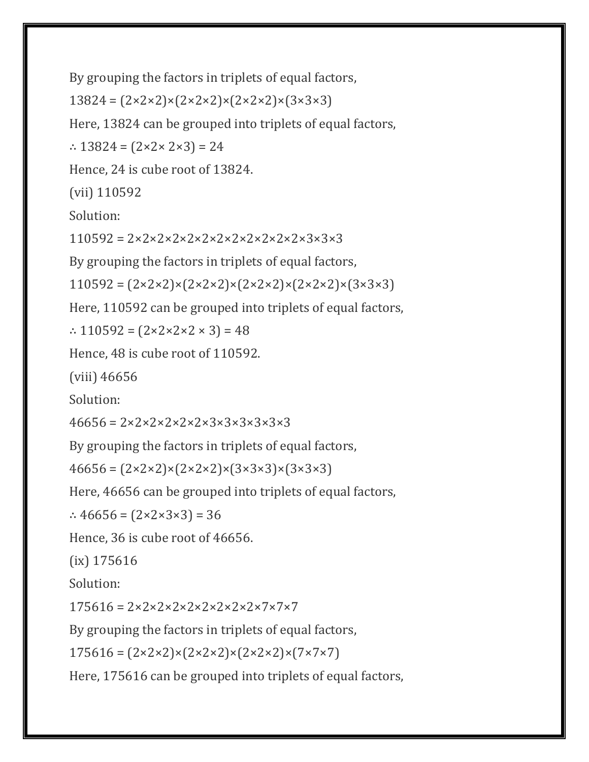By grouping the factors in triplets of equal factors,

 $13824 = (2 \times 2 \times 2) \times (2 \times 2 \times 2) \times (2 \times 2 \times 2) \times (3 \times 3 \times 3)$ 

Here, 13824 can be grouped into triplets of equal factors,

∴ 13824 = (2×2× 2×3) = 24

Hence, 24 is cube root of 13824.

(vii) 110592

Solution:

110592 = 2×2×2×2×2×2×2×2×2×2×2×2×3×3×3

By grouping the factors in triplets of equal factors,

 $110592 = (2 \times 2 \times 2) \times (2 \times 2 \times 2) \times (2 \times 2 \times 2) \times (2 \times 2 \times 2) \times (3 \times 3 \times 3)$ 

Here, 110592 can be grouped into triplets of equal factors,

∴ 110592 = (2×2×2×2 × 3) = 48

Hence, 48 is cube root of 110592.

(viii) 46656

Solution:

 $46656 = 2 \times 2 \times 2 \times 2 \times 2 \times 3 \times 3 \times 3 \times 3 \times 3$ 

By grouping the factors in triplets of equal factors,

 $46656 = (2 \times 2 \times 2) \times (2 \times 2 \times 2) \times (3 \times 3 \times 3) \times (3 \times 3 \times 3)$ 

Here, 46656 can be grouped into triplets of equal factors,

∴ 46656 =  $(2 \times 2 \times 3 \times 3) = 36$ 

Hence, 36 is cube root of 46656.

(ix) 175616

Solution:

 $175616 = 2 \times 2 \times 2 \times 2 \times 2 \times 2 \times 2 \times 2 \times 7 \times 7 \times 7$ 

By grouping the factors in triplets of equal factors,

 $175616 = (2 \times 2 \times 2) \times (2 \times 2 \times 2) \times (2 \times 2 \times 2) \times (7 \times 7 \times 7)$ 

Here, 175616 can be grouped into triplets of equal factors,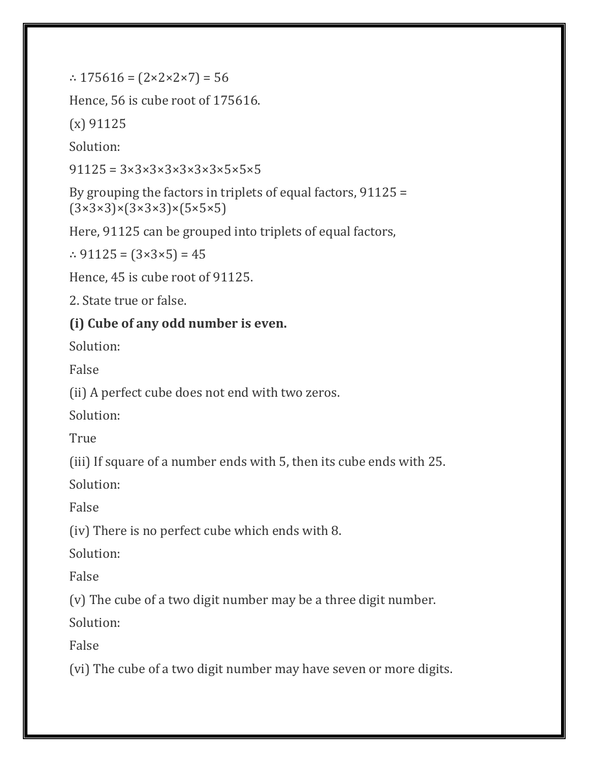∴ 175616 =  $(2 \times 2 \times 2 \times 7)$  = 56

Hence, 56 is cube root of 175616.

(x) 91125

Solution:

 $91125 = 3 \times 3 \times 3 \times 3 \times 3 \times 3 \times 5 \times 5 \times 5$ 

By grouping the factors in triplets of equal factors, 91125 =  $(3\times3\times3)\times(3\times3\times3)\times(5\times5\times5)$ 

Here, 91125 can be grouped into triplets of equal factors,

∴ 91125 =  $(3×3×5) = 45$ 

Hence, 45 is cube root of 91125.

2. State true or false.

### **(i) Cube of any odd number is even.**

Solution:

False

(ii) A perfect cube does not end with two zeros.

Solution:

True

(iii) If square of a number ends with 5, then its cube ends with 25.

Solution:

False

(iv) There is no perfect cube which ends with 8.

Solution:

False

(v) The cube of a two digit number may be a three digit number.

Solution:

False

(vi) The cube of a two digit number may have seven or more digits.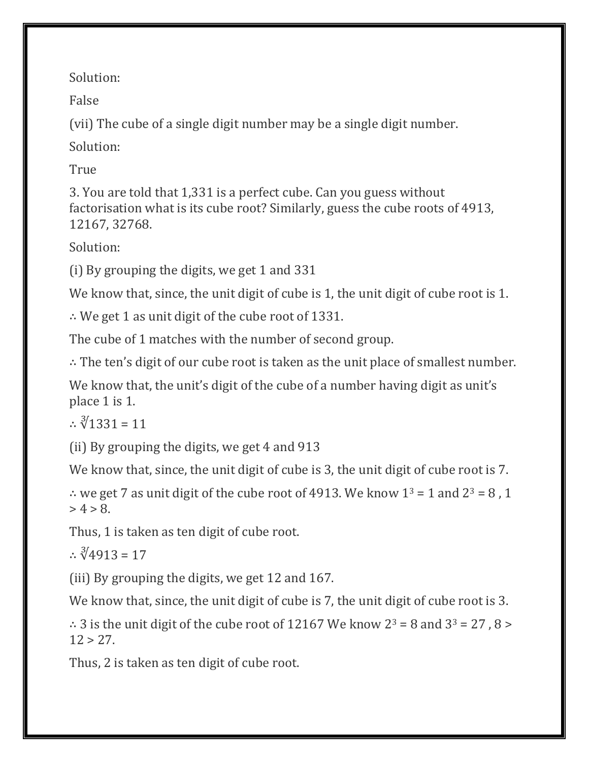Solution:

False

(vii) The cube of a single digit number may be a single digit number.

Solution:

True

3. You are told that 1,331 is a perfect cube. Can you guess without factorisation what is its cube root? Similarly, guess the cube roots of 4913, 12167, 32768.

Solution:

(i) By grouping the digits, we get 1 and 331

We know that, since, the unit digit of cube is 1, the unit digit of cube root is 1.

∴ We get 1 as unit digit of the cube root of 1331.

The cube of 1 matches with the number of second group.

∴ The ten's digit of our cube root is taken as the unit place of smallest number.

We know that, the unit's digit of the cube of a number having digit as unit's place 1 is 1.

∴  $\sqrt[3]{1331}$  = 11

(ii) By grouping the digits, we get 4 and 913

We know that, since, the unit digit of cube is 3, the unit digit of cube root is 7.

∴ we get 7 as unit digit of the cube root of 4913. We know  $1^3 = 1$  and  $2^3 = 8$ , 1  $> 4 > 8$ .

Thus, 1 is taken as ten digit of cube root.

∴  $\sqrt[3]{4913}$  = 17

(iii) By grouping the digits, we get 12 and 167.

We know that, since, the unit digit of cube is 7, the unit digit of cube root is 3.

∴ 3 is the unit digit of the cube root of 12167 We know  $2^3 = 8$  and  $3^3 = 27$ ,  $8 >$  $12 > 27$ .

Thus, 2 is taken as ten digit of cube root.